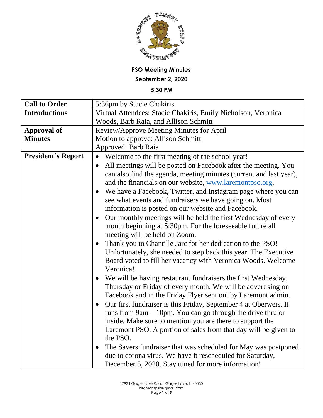

## **PSO Meeting Minutes September 2, 2020**

**5:30 PM**

| <b>Call to Order</b>      | 5:36pm by Stacie Chakiris                                                                                                                                                                                                                                                     |
|---------------------------|-------------------------------------------------------------------------------------------------------------------------------------------------------------------------------------------------------------------------------------------------------------------------------|
| <b>Introductions</b>      | Virtual Attendees: Stacie Chakiris, Emily Nicholson, Veronica                                                                                                                                                                                                                 |
|                           | Woods, Barb Raia, and Allison Schmitt                                                                                                                                                                                                                                         |
| <b>Approval of</b>        | Review/Approve Meeting Minutes for April                                                                                                                                                                                                                                      |
| <b>Minutes</b>            | Motion to approve: Allison Schmitt                                                                                                                                                                                                                                            |
|                           | Approved: Barb Raia                                                                                                                                                                                                                                                           |
| <b>President's Report</b> | Welcome to the first meeting of the school year!<br>$\bullet$                                                                                                                                                                                                                 |
|                           | All meetings will be posted on Facebook after the meeting. You<br>$\bullet$                                                                                                                                                                                                   |
|                           | can also find the agenda, meeting minutes (current and last year),<br>and the financials on our website, www.laremontpso.org.                                                                                                                                                 |
|                           | We have a Facebook, Twitter, and Instagram page where you can<br>$\bullet$<br>see what events and fundraisers we have going on. Most<br>information is posted on our website and Facebook.                                                                                    |
|                           | Our monthly meetings will be held the first Wednesday of every<br>$\bullet$<br>month beginning at 5:30pm. For the foreseeable future all<br>meeting will be held on Zoom.                                                                                                     |
|                           | Thank you to Chantille Jarc for her dedication to the PSO!<br>Unfortunately, she needed to step back this year. The Executive<br>Board voted to fill her vacancy with Veronica Woods. Welcome<br>Veronica!                                                                    |
|                           | We will be having restaurant fundraisers the first Wednesday,<br>$\bullet$<br>Thursday or Friday of every month. We will be advertising on<br>Facebook and in the Friday Flyer sent out by Laremont admin.                                                                    |
|                           | Our first fundraiser is this Friday, September 4 at Oberweis. It<br>runs from $9am - 10pm$ . You can go through the drive thru or<br>inside. Make sure to mention you are there to support the<br>Laremont PSO. A portion of sales from that day will be given to<br>the PSO. |
|                           | The Savers fundraiser that was scheduled for May was postponed<br>due to corona virus. We have it rescheduled for Saturday,<br>December 5, 2020. Stay tuned for more information!                                                                                             |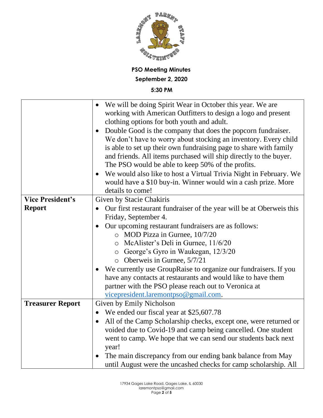

|                         | We will be doing Spirit Wear in October this year. We are<br>working with American Outfitters to design a logo and present<br>clothing options for both youth and adult.<br>Double Good is the company that does the popcorn fundraiser.<br>We don't have to worry about stocking an inventory. Every child |
|-------------------------|-------------------------------------------------------------------------------------------------------------------------------------------------------------------------------------------------------------------------------------------------------------------------------------------------------------|
|                         | is able to set up their own fundraising page to share with family<br>and friends. All items purchased will ship directly to the buyer.                                                                                                                                                                      |
|                         | The PSO would be able to keep 50% of the profits.<br>We would also like to host a Virtual Trivia Night in February. We<br>would have a \$10 buy-in. Winner would win a cash prize. More<br>details to come!                                                                                                 |
| <b>Vice President's</b> | Given by Stacie Chakiris                                                                                                                                                                                                                                                                                    |
| <b>Report</b>           | Our first restaurant fundraiser of the year will be at Oberweis this                                                                                                                                                                                                                                        |
|                         | Friday, September 4.                                                                                                                                                                                                                                                                                        |
|                         | Our upcoming restaurant fundraisers are as follows:                                                                                                                                                                                                                                                         |
|                         | o MOD Pizza in Gurnee, 10/7/20                                                                                                                                                                                                                                                                              |
|                         | McAlister's Deli in Gurnee, 11/6/20<br>$\circ$                                                                                                                                                                                                                                                              |
|                         | o George's Gyro in Waukegan, 12/3/20                                                                                                                                                                                                                                                                        |
|                         | $\circ$ Oberweis in Gurnee, 5/7/21                                                                                                                                                                                                                                                                          |
|                         | We currently use GroupRaise to organize our fundraisers. If you                                                                                                                                                                                                                                             |
|                         | have any contacts at restaurants and would like to have them                                                                                                                                                                                                                                                |
|                         | partner with the PSO please reach out to Veronica at                                                                                                                                                                                                                                                        |
|                         | vicepresident.laremontpso@gmail.com.                                                                                                                                                                                                                                                                        |
| <b>Treasurer Report</b> | Given by Emily Nicholson                                                                                                                                                                                                                                                                                    |
|                         | We ended our fiscal year at \$25,607.78<br>$\bullet$                                                                                                                                                                                                                                                        |
|                         | All of the Camp Scholarship checks, except one, were returned or<br>$\bullet$<br>voided due to Covid-19 and camp being cancelled. One student                                                                                                                                                               |
|                         | went to camp. We hope that we can send our students back next                                                                                                                                                                                                                                               |
|                         | year!                                                                                                                                                                                                                                                                                                       |
|                         | The main discrepancy from our ending bank balance from May<br>until August were the uncashed checks for camp scholarship. All                                                                                                                                                                               |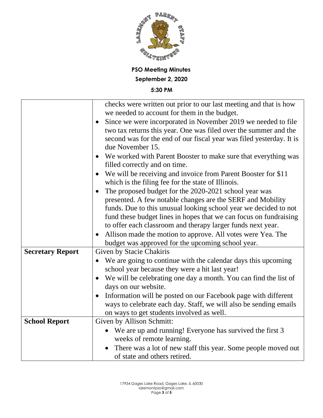

|                         | checks were written out prior to our last meeting and that is how          |
|-------------------------|----------------------------------------------------------------------------|
|                         | we needed to account for them in the budget.                               |
|                         | Since we were incorporated in November 2019 we needed to file<br>$\bullet$ |
|                         | two tax returns this year. One was filed over the summer and the           |
|                         | second was for the end of our fiscal year was filed yesterday. It is       |
|                         | due November 15.                                                           |
|                         | We worked with Parent Booster to make sure that everything was             |
|                         | filled correctly and on time.                                              |
|                         | We will be receiving and invoice from Parent Booster for \$11<br>$\bullet$ |
|                         | which is the filing fee for the state of Illinois.                         |
|                         | The proposed budget for the 2020-2021 school year was<br>$\bullet$         |
|                         | presented. A few notable changes are the SERF and Mobility                 |
|                         | funds. Due to this unusual looking school year we decided to not           |
|                         | fund these budget lines in hopes that we can focus on fundraising          |
|                         | to offer each classroom and therapy larger funds next year.                |
|                         | Allison made the motion to approve. All votes were Yea. The<br>$\bullet$   |
|                         | budget was approved for the upcoming school year.                          |
| <b>Secretary Report</b> | Given by Stacie Chakiris                                                   |
|                         | We are going to continue with the calendar days this upcoming              |
|                         | school year because they were a hit last year!                             |
|                         | We will be celebrating one day a month. You can find the list of           |
|                         | days on our website.                                                       |
|                         | Information will be posted on our Facebook page with different             |
|                         | ways to celebrate each day. Staff, we will also be sending emails          |
|                         | on ways to get students involved as well.                                  |
| <b>School Report</b>    | Given by Allison Schmitt:                                                  |
|                         | We are up and running! Everyone has survived the first 3<br>$\bullet$      |
|                         | weeks of remote learning.                                                  |
|                         | There was a lot of new staff this year. Some people moved out              |
|                         | of state and others retired.                                               |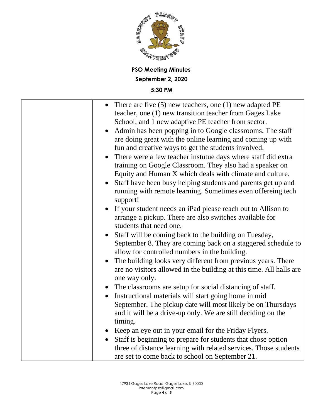

| There are five $(5)$ new teachers, one $(1)$ new adapted PE<br>teacher, one (1) new transition teacher from Gages Lake<br>School, and 1 new adaptive PE teacher from sector.<br>Admin has been popping in to Google classrooms. The staff<br>$\bullet$<br>are doing great with the online learning and coming up with<br>fun and creative ways to get the students involved.<br>There were a few teacher instutue days where staff did extra<br>training on Google Classroom. They also had a speaker on<br>Equity and Human X which deals with climate and culture.<br>Staff have been busy helping students and parents get up and<br>running with remote learning. Sometimes even offereing tech<br>support!<br>If your student needs an iPad please reach out to Allison to<br>arrange a pickup. There are also switches available for |
|--------------------------------------------------------------------------------------------------------------------------------------------------------------------------------------------------------------------------------------------------------------------------------------------------------------------------------------------------------------------------------------------------------------------------------------------------------------------------------------------------------------------------------------------------------------------------------------------------------------------------------------------------------------------------------------------------------------------------------------------------------------------------------------------------------------------------------------------|
| students that need one.                                                                                                                                                                                                                                                                                                                                                                                                                                                                                                                                                                                                                                                                                                                                                                                                                    |
| Staff will be coming back to the building on Tuesday,<br>September 8. They are coming back on a staggered schedule to                                                                                                                                                                                                                                                                                                                                                                                                                                                                                                                                                                                                                                                                                                                      |
| allow for controlled numbers in the building.                                                                                                                                                                                                                                                                                                                                                                                                                                                                                                                                                                                                                                                                                                                                                                                              |
| The building looks very different from previous years. There<br>$\bullet$<br>are no visitors allowed in the building at this time. All halls are<br>one way only.                                                                                                                                                                                                                                                                                                                                                                                                                                                                                                                                                                                                                                                                          |
| The classrooms are setup for social distancing of staff.                                                                                                                                                                                                                                                                                                                                                                                                                                                                                                                                                                                                                                                                                                                                                                                   |
| Instructional materials will start going home in mid<br>$\bullet$                                                                                                                                                                                                                                                                                                                                                                                                                                                                                                                                                                                                                                                                                                                                                                          |
| September. The pickup date will most likely be on Thursdays<br>and it will be a drive-up only. We are still deciding on the                                                                                                                                                                                                                                                                                                                                                                                                                                                                                                                                                                                                                                                                                                                |
| timing.                                                                                                                                                                                                                                                                                                                                                                                                                                                                                                                                                                                                                                                                                                                                                                                                                                    |
| Keep an eye out in your email for the Friday Flyers.                                                                                                                                                                                                                                                                                                                                                                                                                                                                                                                                                                                                                                                                                                                                                                                       |
| Staff is beginning to prepare for students that chose option<br>three of distance learning with related services. Those students<br>are set to come back to school on September 21.                                                                                                                                                                                                                                                                                                                                                                                                                                                                                                                                                                                                                                                        |